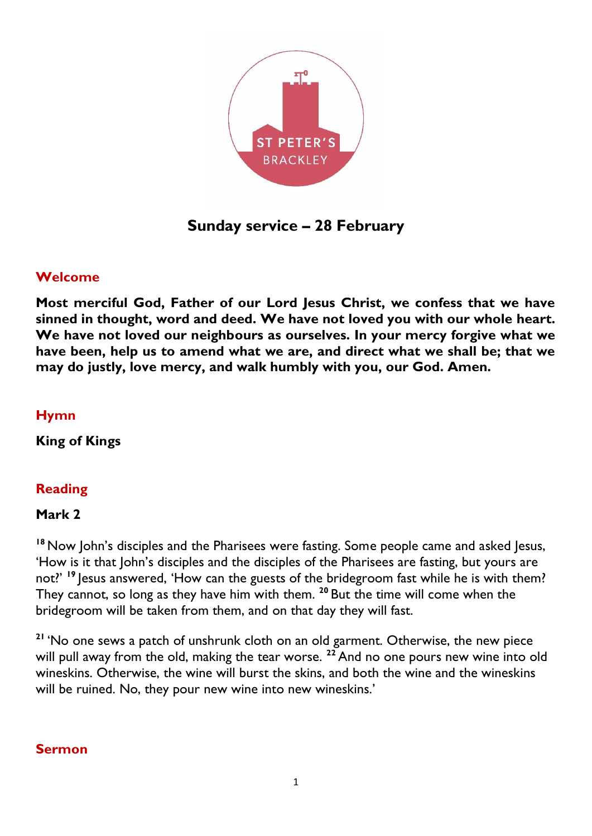

**Sunday service – 28 February**

## **Welcome**

**Most merciful God, Father of our Lord Jesus Christ, we confess that we have sinned in thought, word and deed. We have not loved you with our whole heart. We have not loved our neighbours as ourselves. In your mercy forgive what we have been, help us to amend what we are, and direct what we shall be; that we may do justly, love mercy, and walk humbly with you, our God. Amen.**

#### **Hymn**

**King of Kings**

## **Reading**

#### **Mark 2**

**<sup>18</sup>** Now John's disciples and the Pharisees were fasting. Some people came and asked Jesus, 'How is it that John's disciples and the disciples of the Pharisees are fasting, but yours are not?' <sup>19</sup> Jesus answered, 'How can the guests of the bridegroom fast while he is with them? They cannot, so long as they have him with them. **<sup>20</sup>** But the time will come when the bridegroom will be taken from them, and on that day they will fast.

**<sup>21</sup>** 'No one sews a patch of unshrunk cloth on an old garment. Otherwise, the new piece will pull away from the old, making the tear worse. <sup>22</sup> And no one pours new wine into old wineskins. Otherwise, the wine will burst the skins, and both the wine and the wineskins will be ruined. No, they pour new wine into new wineskins.'

## **Sermon**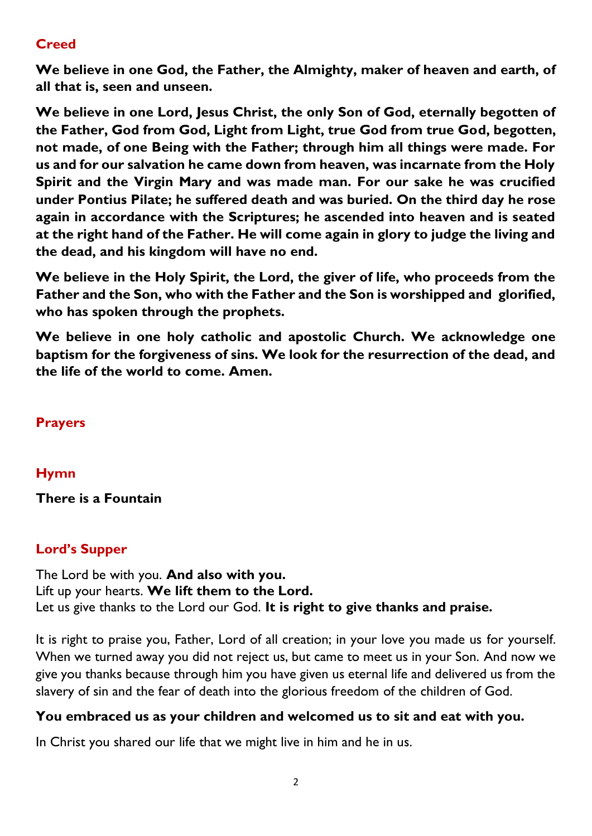# **Creed**

**We believe in one God, the Father, the Almighty, maker of heaven and earth, of all that is, seen and unseen.** 

**We believe in one Lord, Jesus Christ, the only Son of God, eternally begotten of the Father, God from God, Light from Light, true God from true God, begotten, not made, of one Being with the Father; through him all things were made. For us and for our salvation he came down from heaven, was incarnate from the Holy Spirit and the Virgin Mary and was made man. For our sake he was crucified under Pontius Pilate; he suffered death and was buried. On the third day he rose again in accordance with the Scriptures; he ascended into heaven and is seated at the right hand of the Father. He will come again in glory to judge the living and the dead, and his kingdom will have no end.**

**We believe in the Holy Spirit, the Lord, the giver of life, who proceeds from the Father and the Son, who with the Father and the Son is worshipped and glorified, who has spoken through the prophets.** 

**We believe in one holy catholic and apostolic Church. We acknowledge one baptism for the forgiveness of sins. We look for the resurrection of the dead, and the life of the world to come. Amen.**

## **Prayers**

## **Hymn**

## **There is a Fountain**

# **Lord's Supper**

The Lord be with you. **And also with you.** Lift up your hearts. **We lift them to the Lord.** Let us give thanks to the Lord our God. **It is right to give thanks and praise.**

It is right to praise you, Father, Lord of all creation; in your love you made us for yourself. When we turned away you did not reject us, but came to meet us in your Son. And now we give you thanks because through him you have given us eternal life and delivered us from the slavery of sin and the fear of death into the glorious freedom of the children of God.

## **You embraced us as your children and welcomed us to sit and eat with you.**

In Christ you shared our life that we might live in him and he in us.